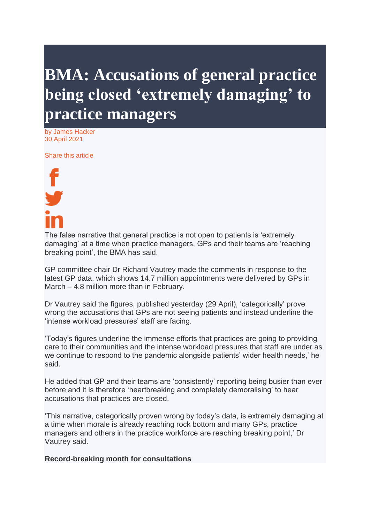## **BMA: Accusations of general practice being closed 'extremely damaging' to practice managers**

by James Hacker 30 April 2021

Share this article



The false narrative that general practice is not open to patients is 'extremely damaging' at a time when practice managers, GPs and their teams are 'reaching breaking point', the BMA has said.

GP committee chair Dr Richard Vautrey made the comments in response to the latest GP data, which shows 14.7 million appointments were delivered by GPs in March – 4.8 million more than in February.

Dr Vautrey said the figures, published yesterday (29 April), 'categorically' prove wrong the accusations that GPs are not seeing patients and instead underline the 'intense workload pressures' staff are facing.

'Today's figures underline the immense efforts that practices are going to providing care to their communities and the intense workload pressures that staff are under as we continue to respond to the pandemic alongside patients' wider health needs,' he said.

He added that GP and their teams are 'consistently' reporting being busier than ever before and it is therefore 'heartbreaking and completely demoralising' to hear accusations that practices are closed.

'This narrative, categorically proven wrong by today's data, is extremely damaging at a time when morale is already reaching rock bottom and many GPs, practice managers and others in the practice workforce are reaching breaking point,' Dr Vautrey said.

## **Record-breaking month for consultations**